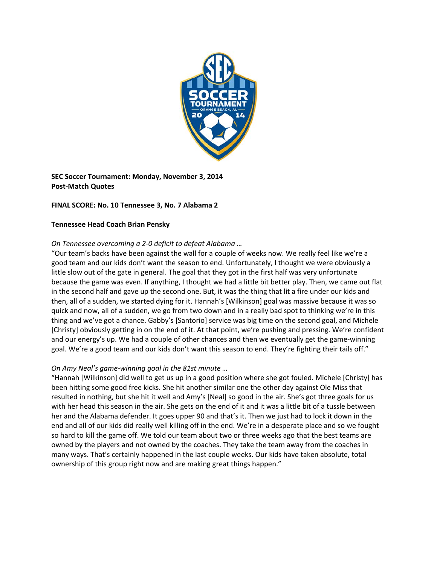

**SEC Soccer Tournament: Monday, November 3, 2014 Post‐Match Quotes**

# **FINAL SCORE: No. 10 Tennessee 3, No. 7 Alabama 2**

### **Tennessee Head Coach Brian Pensky**

## *On Tennessee overcoming a 2‐0 deficit to defeat Alabama …*

"Our team's backs have been against the wall for a couple of weeks now. We really feel like we're a good team and our kids don't want the season to end. Unfortunately, I thought we were obviously a little slow out of the gate in general. The goal that they got in the first half was very unfortunate because the game was even. If anything, I thought we had a little bit better play. Then, we came out flat in the second half and gave up the second one. But, it was the thing that lit a fire under our kids and then, all of a sudden, we started dying for it. Hannah's [Wilkinson] goal was massive because it was so quick and now, all of a sudden, we go from two down and in a really bad spot to thinking we're in this thing and we've got a chance. Gabby's [Santorio] service was big time on the second goal, and Michele [Christy] obviously getting in on the end of it. At that point, we're pushing and pressing. We're confident and our energy's up. We had a couple of other chances and then we eventually get the game-winning goal. We're a good team and our kids don't want this season to end. They're fighting their tails off."

## *On Amy Neal's game‐winning goal in the 81st minute …*

"Hannah [Wilkinson] did well to get us up in a good position where she got fouled. Michele [Christy] has been hitting some good free kicks. She hit another similar one the other day against Ole Miss that resulted in nothing, but she hit it well and Amy's [Neal] so good in the air. She's got three goals for us with her head this season in the air. She gets on the end of it and it was a little bit of a tussle between her and the Alabama defender. It goes upper 90 and that's it. Then we just had to lock it down in the end and all of our kids did really well killing off in the end. We're in a desperate place and so we fought so hard to kill the game off. We told our team about two or three weeks ago that the best teams are owned by the players and not owned by the coaches. They take the team away from the coaches in many ways. That's certainly happened in the last couple weeks. Our kids have taken absolute, total ownership of this group right now and are making great things happen."